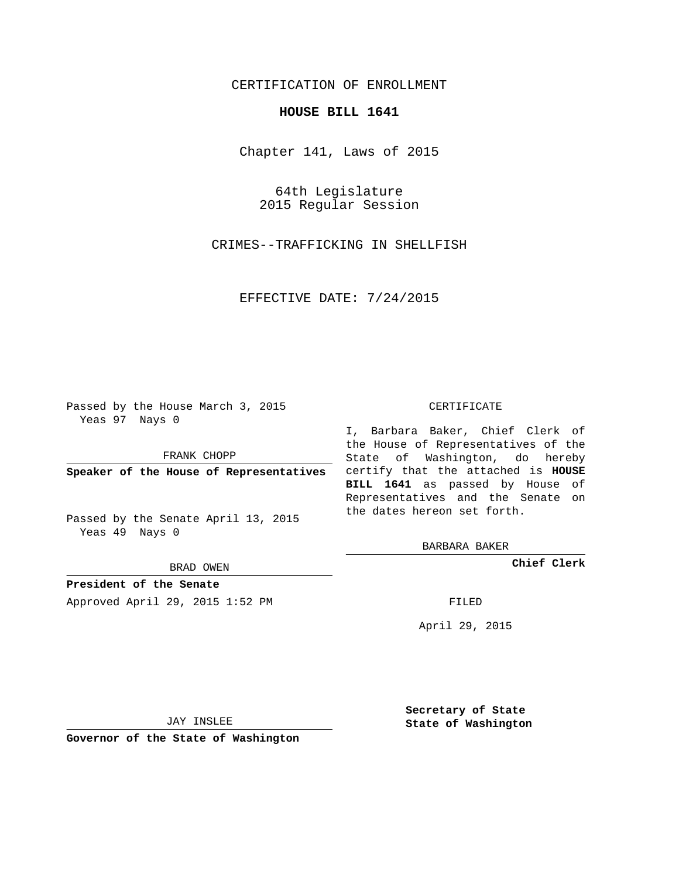## CERTIFICATION OF ENROLLMENT

## **HOUSE BILL 1641**

Chapter 141, Laws of 2015

64th Legislature 2015 Regular Session

CRIMES--TRAFFICKING IN SHELLFISH

EFFECTIVE DATE: 7/24/2015

Passed by the House March 3, 2015 Yeas 97 Nays 0

FRANK CHOPP

Passed by the Senate April 13, 2015 Yeas 49 Nays 0

BRAD OWEN

**President of the Senate**

Approved April 29, 2015 1:52 PM FILED

## CERTIFICATE

**Speaker of the House of Representatives** certify that the attached is **HOUSE** I, Barbara Baker, Chief Clerk of the House of Representatives of the State of Washington, do hereby **BILL 1641** as passed by House of Representatives and the Senate on the dates hereon set forth.

BARBARA BAKER

**Chief Clerk**

April 29, 2015

JAY INSLEE

**Governor of the State of Washington**

**Secretary of State State of Washington**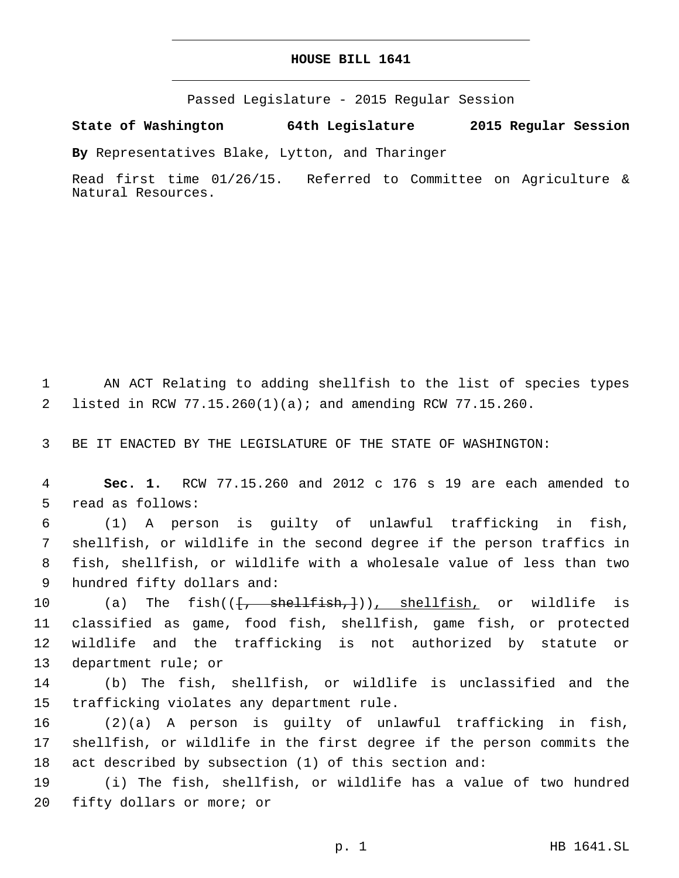## **HOUSE BILL 1641**

Passed Legislature - 2015 Regular Session

**State of Washington 64th Legislature 2015 Regular Session**

**By** Representatives Blake, Lytton, and Tharinger

Read first time 01/26/15. Referred to Committee on Agriculture & Natural Resources.

1 AN ACT Relating to adding shellfish to the list of species types 2 listed in RCW 77.15.260(1)(a); and amending RCW 77.15.260.

3 BE IT ENACTED BY THE LEGISLATURE OF THE STATE OF WASHINGTON:

4 **Sec. 1.** RCW 77.15.260 and 2012 c 176 s 19 are each amended to 5 read as follows:

 (1) A person is guilty of unlawful trafficking in fish, shellfish, or wildlife in the second degree if the person traffics in fish, shellfish, or wildlife with a wholesale value of less than two 9 hundred fifty dollars and:

10 (a) The fish(( $\{\frac{1}{2}, \frac{1}{2}, \frac{1}{2}\}$ ), shellfish, or wildlife is 11 classified as game, food fish, shellfish, game fish, or protected 12 wildlife and the trafficking is not authorized by statute or 13 department rule; or

14 (b) The fish, shellfish, or wildlife is unclassified and the 15 trafficking violates any department rule.

16 (2)(a) A person is guilty of unlawful trafficking in fish, 17 shellfish, or wildlife in the first degree if the person commits the 18 act described by subsection (1) of this section and:

19 (i) The fish, shellfish, or wildlife has a value of two hundred 20 fifty dollars or more; or